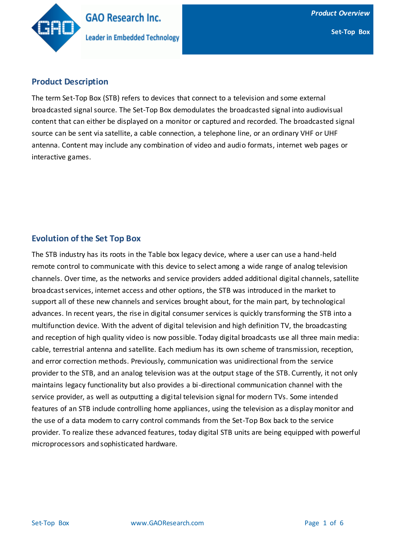

## **Product Description**

The term Set-Top Box (STB) refers to devices that connect to a television and some external broadcasted signal source. The Set-Top Box demodulates the broadcasted signal into audiovisual content that can either be displayed on a monitor or captured and recorded. The broadcasted signal source can be sent via satellite, a cable connection, a telephone line, or an ordinary VHF or UHF antenna. Content may include any combination of video and audio formats, internet web pages or interactive games.

## **Evolution of the Set Top Box**

The STB industry has its roots in the Table box legacy device, where a user can use a hand-held remote control to communicate with this device to select among a wide range of analog television channels. Over time, as the networks and service providers added additional digital channels, satellite broadcast services, internet access and other options, the STB was introduced in the market to support all of these new channels and services brought about, for the main part, by technological advances. In recent years, the rise in digital consumer services is quickly transforming the STB into a multifunction device. With the advent of digital television and high definition TV, the broadcasting and reception of high quality video is now possible. Today digital broadcasts use all three main media: cable, terrestrial antenna and satellite. Each medium has its own scheme of transmission, reception, and error correction methods. Previously, communication was unidirectional from the service provider to the STB, and an analog television was at the output stage of the STB. Currently, it not only maintains legacy functionality but also provides a bi-directional communication channel with the service provider, as well as outputting a digital television signal for modern TVs. Some intended features of an STB include controlling home appliances, using the television as a display monitor and the use of a data modem to carry control commands from the Set-Top Box back to the service provider. To realize these advanced features, today digital STB units are being equipped with powerful microprocessors and sophisticated hardware.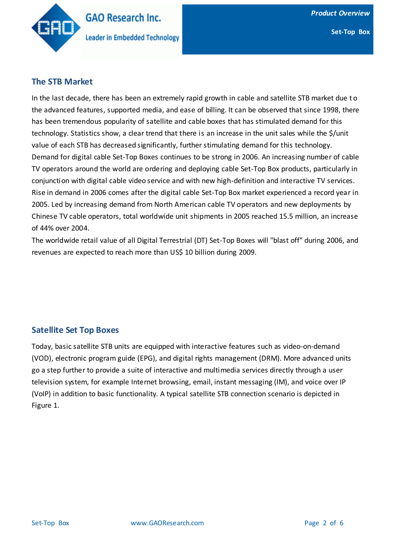

## **The STB Market**

In the last decade, there has been an extremely rapid growth in cable and satellite STB market due t o the advanced features, supported media, and ease of billing. It can be observed that since 1998, there has been tremendous popularity of satellite and cable boxes that has stimulated demand for this technology. Statistics show, a clear trend that there is an increase in the unit sales while the \$/unit value of each STB has decreased significantly, further stimulating demand for this technology. Demand for digital cable Set-Top Boxes continues to be strong in 2006. An increasing number of cable TV operators around the world are ordering and deploying cable Set-Top Box products, particularly in conjunction with digital cable video service and with new high-definition and interactive TV services. Rise in demand in 2006 comes after the digital cable Set-Top Box market experienced a record year in 2005. Led by increasing demand from North American cable TV operators and new deployments by Chinese TV cable operators, total worldwide unit shipments in 2005 reached 15.5 million, an increase of 44% over 2004.

The worldwide retail value of all Digital Terrestrial (DT) Set-Top Boxes will "blast off" during 2006, and revenues are expected to reach more than US\$ 10 billion during 2009.

## **Satellite Set Top Boxes**

Today, basic satellite STB units are equipped with interactive features such as video-on-demand (VOD), electronic program guide (EPG), and digital rights management (DRM). More advanced units go a step further to provide a suite of interactive and multimedia services directly through a user television system, for example Internet browsing, email, instant messaging (IM), and voice over IP (VoIP) in addition to basic functionality. A typical satellite STB connection scenario is depicted in Figure 1.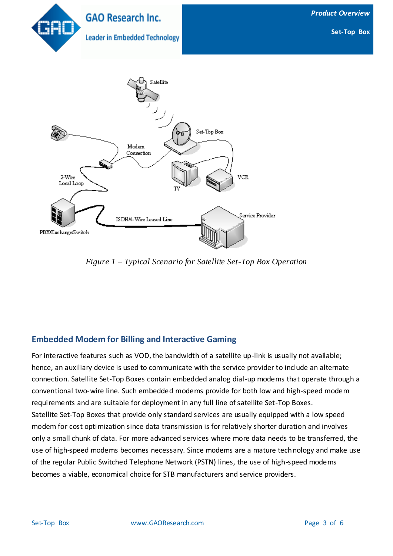

*Figure 1 – Typical Scenario for Satellite Set-Top Box Operation*

# **Embedded Modem for Billing and Interactive Gaming**

For interactive features such as VOD, the bandwidth of a satellite up-link is usually not available; hence, an auxiliary device is used to communicate with the service provider to include an alternate connection. Satellite Set-Top Boxes contain embedded analog dial-up modems that operate through a conventional two-wire line. Such embedded modems provide for both low and high-speed modem requirements and are suitable for deployment in any full line of satellite Set-Top Boxes. Satellite Set-Top Boxes that provide only standard services are usually equipped with a low speed modem for cost optimization since data transmission is for relatively shorter duration and involves only a small chunk of data. For more advanced services where more data needs to be transferred, the use of high-speed modems becomes necessary. Since modems are a mature technology and make use of the regular Public Switched Telephone Network (PSTN) lines, the use of high-speed modems becomes a viable, economical choice for STB manufacturers and service providers.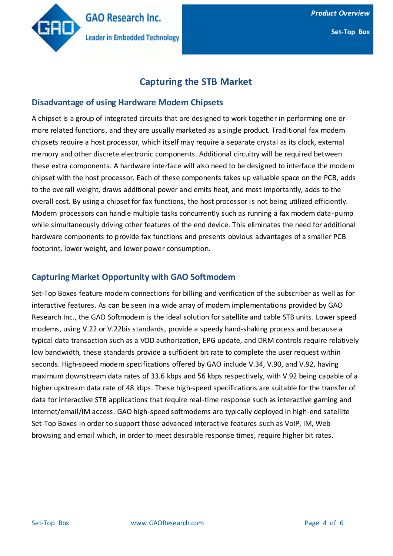

**Set-Top Box**

# **Capturing the STB Market**

#### **Disadvantage of using Hardware Modem Chipsets**

A chipset is a group of integrated circuits that are designed to work together in performing one or more related functions, and they are usually marketed as a single product. Traditional fax modem chipsets require a host processor, which itself may require a separate crystal as its clock, external memory and other discrete electronic components. Additional circuitry will be required between these extra components. A hardware interface will also need to be designed to interface the modem chipset with the host processor. Each of these components takes up valuable space on the PCB, adds to the overall weight, draws additional power and emits heat, and most importantly, adds to the overall cost. By using a chipset for fax functions, the host processor is not being utilized efficiently. Modern processors can handle multiple tasks concurrently such as running a fax modem data -pump while simultaneously driving other features of the end device. This eliminates the need for additional hardware components to provide fax functions and presents obvious advantages of a smaller PCB footprint, lower weight, and lower power consumption.

## **Capturing Market Opportunity with GAO Softmodem**

Set-Top Boxes feature modem connections for billing and verification of the subscriber as well as for interactive features. As can be seen in a wide array of modem implementations provided by GAO Research Inc., the GAO Softmodem is the ideal solution for satellite and cable STB units. Lower speed modems, using V.22 or V.22bis standards, provide a speedy hand-shaking process and because a typical data transaction such as a VOD authorization, EPG update, and DRM controls require relatively low bandwidth, these standards provide a sufficient bit rate to complete the user request within seconds. High-speed modem specifications offered by GAO include V.34, V.90, and V.92, having maximum downstream data rates of 33.6 kbps and 56 kbps respectively, with V.92 being capable of a higher upstream data rate of 48 kbps. These high-speed specifications are suitable for the transfer of data for interactive STB applications that require real-time response such as interactive gaming and Internet/email/IM access. GAO high-speed softmodems are typically deployed in high-end satellite Set-Top Boxes in order to support those advanced interactive features such as VoIP, IM, Web browsing and email which, in order to meet desirable response times, require higher bit rates.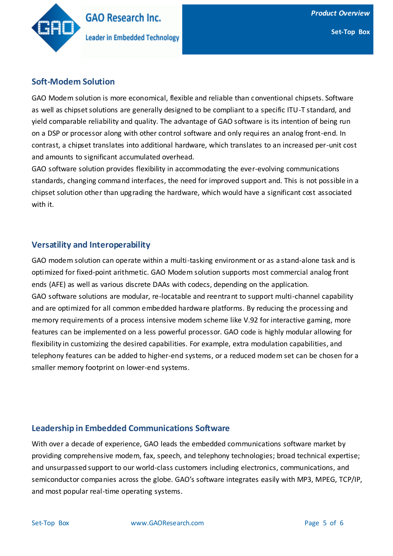

## **Soft-Modem Solution**

GAO Modem solution is more economical, flexible and reliable than conventional chipsets. Software as well as chipset solutions are generally designed to be compliant to a specific ITU-T standard, and yield comparable reliability and quality. The advantage of GAO software is its intention of being run on a DSP or processor along with other control software and only requires an analog front-end. In contrast, a chipset translates into additional hardware, which translates to an increased per-unit cost and amounts to significant accumulated overhead.

GAO software solution provides flexibility in accommodating the ever-evolving communications standards, changing command interfaces, the need for improved support and. This is not possible in a chipset solution other than upgrading the hardware, which would have a significant cost associated with it.

## **Versatility and Interoperability**

GAO modem solution can operate within a multi-tasking environment or as a stand-alone task and is optimized for fixed-point arithmetic. GAO Modem solution supports most commercial analog front ends (AFE) as well as various discrete DAAs with codecs, depending on the application. GAO software solutions are modular, re-locatable and reentrant to support multi-channel capability and are optimized for all common embedded hardware platforms. By reducing the processing and memory requirements of a process intensive modem scheme like V.92 for interactive gaming, more features can be implemented on a less powerful processor. GAO code is highly modular allowing for flexibility in customizing the desired capabilities. For example, extra modulation capabilities, and telephony features can be added to higher-end systems, or a reduced modem set can be chosen for a smaller memory footprint on lower-end systems.

## **Leadership in Embedded Communications Software**

With over a decade of experience, GAO leads the embedded communications software market by providing comprehensive modem, fax, speech, and telephony technologies; broad technical expertise; and unsurpassed support to our world-class customers including electronics, communications, and semiconductor companies across the globe. GAO's software integrates easily with MP3, MPEG, TCP/IP, and most popular real-time operating systems.